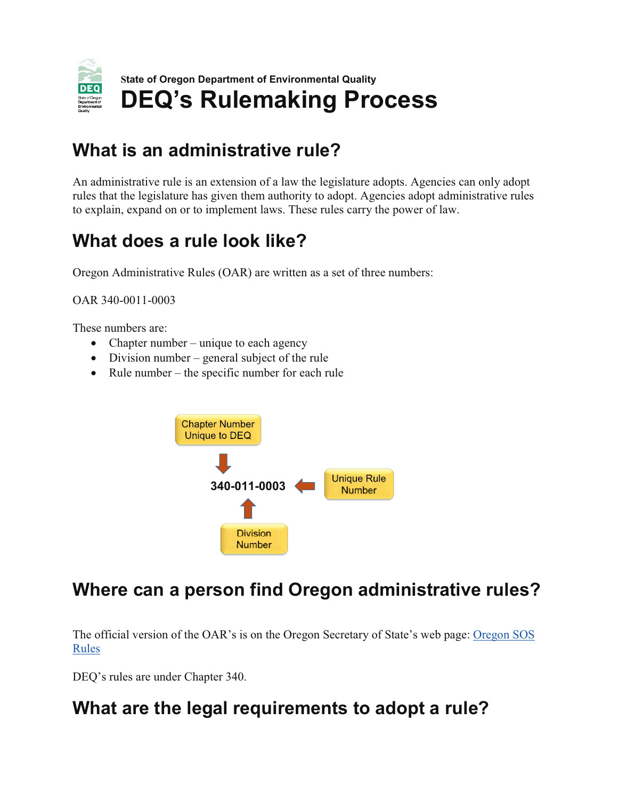

## What is an administrative rule?

An administrative rule is an extension of a law the legislature adopts. Agencies can only adopt rules that the legislature has given them authority to adopt. Agencies adopt administrative rules to explain, expand on or to implement laws. These rules carry the power of law.

## What does a rule look like?

Oregon Administrative Rules (OAR) are written as a set of three numbers:

OAR 340-0011-0003

These numbers are:

- Chapter number unique to each agency
- Division number general subject of the rule
- Rule number the specific number for each rule



# Where can a person find Oregon administrative rules?

The official version of the OAR's is on the Oregon Secretary of State's web page: Oregon SOS Rules

DEQ's rules are under Chapter 340.

## What are the legal requirements to adopt a rule?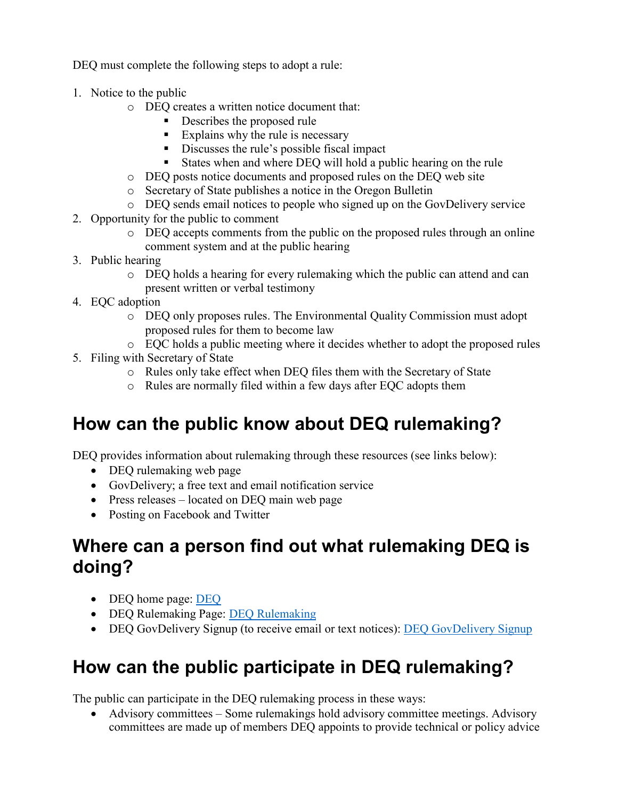DEQ must complete the following steps to adopt a rule:

- 1. Notice to the public
	- o DEQ creates a written notice document that:
		- Describes the proposed rule
		- Explains why the rule is necessary
		- Discusses the rule's possible fiscal impact
		- States when and where DEQ will hold a public hearing on the rule
	- o DEQ posts notice documents and proposed rules on the DEQ web site
	- o Secretary of State publishes a notice in the Oregon Bulletin
	- o DEQ sends email notices to people who signed up on the GovDelivery service
- 2. Opportunity for the public to comment
	- o DEQ accepts comments from the public on the proposed rules through an online comment system and at the public hearing
- 3. Public hearing
	- o DEQ holds a hearing for every rulemaking which the public can attend and can present written or verbal testimony
- 4. EQC adoption
	- o DEQ only proposes rules. The Environmental Quality Commission must adopt proposed rules for them to become law
	- o EQC holds a public meeting where it decides whether to adopt the proposed rules
- 5. Filing with Secretary of State
	- o Rules only take effect when DEQ files them with the Secretary of State
	- o Rules are normally filed within a few days after EQC adopts them

#### **How can the public know about DEQ rulemaking?**

DEQ provides information about rulemaking through these resources (see links below):

- DEQ rulemaking web page
- GovDelivery; a free text and email notification service
- Press releases located on DEQ main web page
- Posting on Facebook and Twitter

#### **Where can a person find out what rulemaking DEQ is doing?**

- • [DEQ](http://www.oregon.gov/deq/pages/index.aspx) home page: DEQ
- • [DEQ Rulemaking](http://www.oregon.gov/deq/RulesandRegulations/Pages/default.aspx) Page: DEQ Rulemaking
- • [DEQ GovDelivery Signup](https://public.govdelivery.com/accounts/ORDEQ/subscriber/new?pop=t&topic_id=ORDEQ_548) (to receive email or text notices): DEQ GovDelivery Signup

# **How can the public participate in DEQ rulemaking?**

The public can participate in the DEQ rulemaking process in these ways:

• Advisory committees – Some rulemakings hold advisory committee meetings. Advisory committees are made up of members DEQ appoints to provide technical or policy advice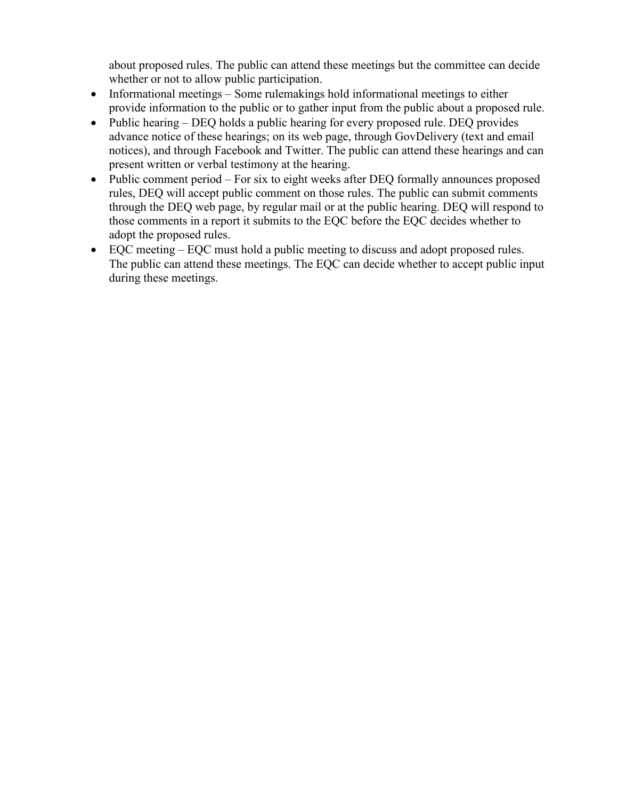about proposed rules. The public can attend these meetings but the committee can decide whether or not to allow public participation.

- Informational meetings Some rulemakings hold informational meetings to either provide information to the public or to gather input from the public about a proposed rule.
- Public hearing DEQ holds a public hearing for every proposed rule. DEQ provides advance notice of these hearings; on its web page, through GovDelivery (text and email notices), and through Facebook and Twitter. The public can attend these hearings and can present written or verbal testimony at the hearing.
- Public comment period For six to eight weeks after DEQ formally announces proposed rules, DEQ will accept public comment on those rules. The public can submit comments through the DEQ web page, by regular mail or at the public hearing. DEQ will respond to those comments in a report it submits to the EQC before the EQC decides whether to adopt the proposed rules.
- EQC meeting EQC must hold a public meeting to discuss and adopt proposed rules. The public can attend these meetings. The EQC can decide whether to accept public input during these meetings.